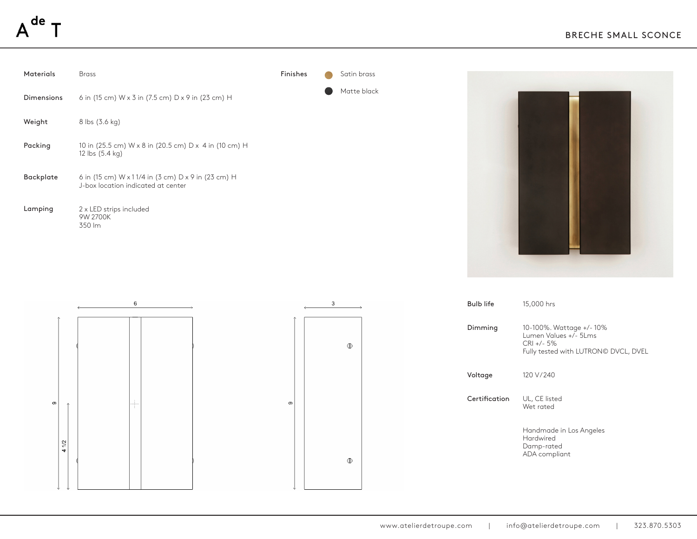## de







| 15,000 hrs                                                                                               |
|----------------------------------------------------------------------------------------------------------|
| 10-100%. Wattage +/-10%<br>Lumen Values +/- 5Lms<br>$CRI +/- 5%$<br>Fully tested with LUTRON© DVCL, DVEL |
| 120 V/240                                                                                                |
| UL, CE listed<br>Wet rated                                                                               |
| Handmade in Los Angeles<br>Hardwired<br>Damp-rated<br>ADA compliant                                      |
|                                                                                                          |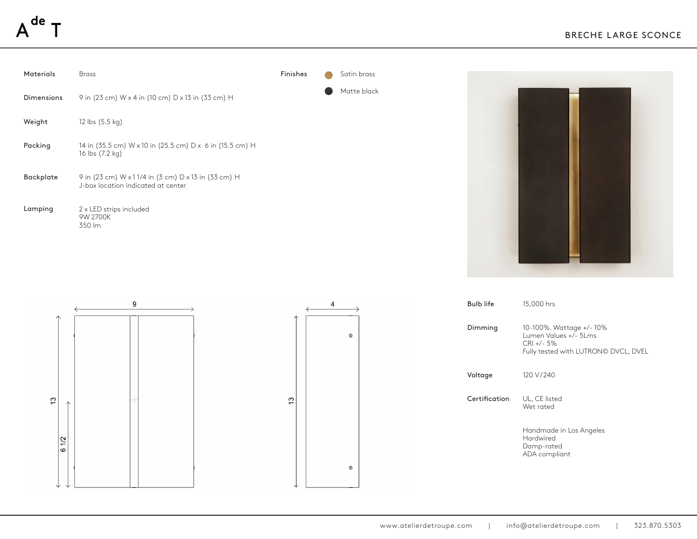





| <b>Bulb life</b> | 15,000 hrs                                                                                              |
|------------------|---------------------------------------------------------------------------------------------------------|
| Dimming          | 10-100%. Wattage +/-10%<br>Lumen Values +/- 5Lms<br>$CRI + 5\%$<br>Fully tested with LUTRON© DVCL, DVEL |
| Voltage          | 120 V/240                                                                                               |
| Certification    | UL, CE listed<br>Wet rated                                                                              |
|                  | Handmade in Los Angeles<br>Hardwired<br>Damp-rated<br>ADA compliant                                     |